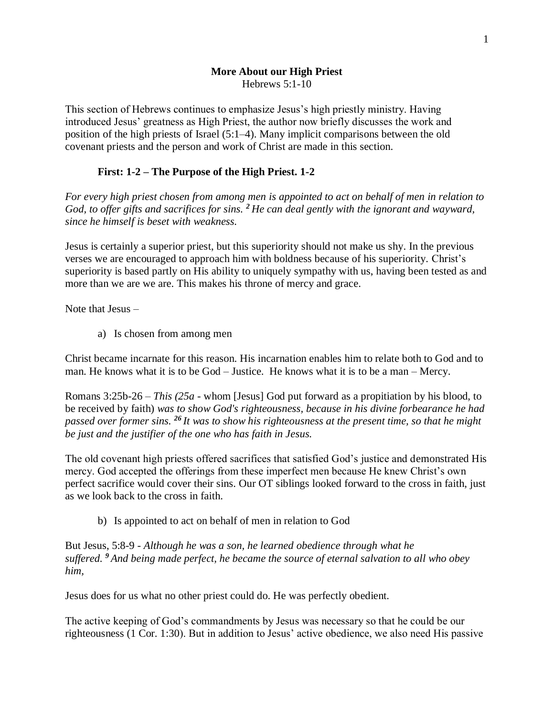#### **More About our High Priest** Hebrews 5:1-10

This section of Hebrews continues to emphasize Jesus's high priestly ministry. Having introduced Jesus' greatness as High Priest, the author now briefly discusses the work and position of the high priests of Israel (5:1–4). Many implicit comparisons between the old covenant priests and the person and work of Christ are made in this section.

## **First: 1-2 – The Purpose of the High Priest. 1-2**

*For every high priest chosen from among men is appointed to act on behalf of men in relation to God, to offer gifts and sacrifices for sins. <sup>2</sup> He can deal gently with the ignorant and wayward, since he himself is beset with weakness.*

Jesus is certainly a superior priest, but this superiority should not make us shy. In the previous verses we are encouraged to approach him with boldness because of his superiority. Christ's superiority is based partly on His ability to uniquely sympathy with us, having been tested as and more than we are we are. This makes his throne of mercy and grace.

Note that Jesus –

a) Is chosen from among men

Christ became incarnate for this reason. His incarnation enables him to relate both to God and to man. He knows what it is to be God – Justice. He knows what it is to be a man – Mercy.

Romans 3:25b-26 – *This (25a -* whom [Jesus] God put forward as a propitiation by his blood, to be received by faith) *was to show God's righteousness, because in his divine forbearance he had passed over former sins. <sup>26</sup> It was to show his righteousness at the present time, so that he might be just and the justifier of the one who has faith in Jesus.*

The old covenant high priests offered sacrifices that satisfied God's justice and demonstrated His mercy. God accepted the offerings from these imperfect men because He knew Christ's own perfect sacrifice would cover their sins. Our OT siblings looked forward to the cross in faith, just as we look back to the cross in faith.

b) Is appointed to act on behalf of men in relation to God

But Jesus, 5:8-9 - *Although he was a son, he learned obedience through what he suffered. <sup>9</sup> And being made perfect, he became the source of eternal salvation to all who obey him,*

Jesus does for us what no other priest could do. He was perfectly obedient.

The active keeping of God's commandments by Jesus was necessary so that he could be our righteousness (1 Cor. 1:30). But in addition to Jesus' active obedience, we also need His passive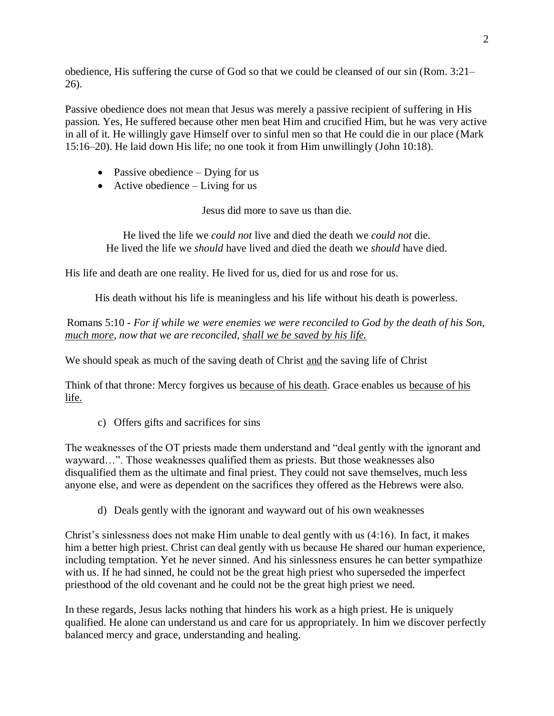obedience, His suffering the curse of God so that we could be cleansed of our sin (Rom. 3:21– 26).

Passive obedience does not mean that Jesus was merely a passive recipient of suffering in His passion. Yes, He suffered because other men beat Him and crucified Him, but he was very active in all of it. He willingly gave Himself over to sinful men so that He could die in our place (Mark 15:16–20). He laid down His life; no one took it from Him unwillingly (John 10:18).

- Passive obedience Dying for us
- Active obedience  $-$  Living for us

Jesus did more to save us than die.

He lived the life we *could not* live and died the death we *could not* die. He lived the life we *should* have lived and died the death we *should* have died.

His life and death are one reality. He lived for us, died for us and rose for us.

His death without his life is meaningless and his life without his death is powerless.

Romans 5:10 - *For if while we were enemies we were reconciled to God by the death of his Son, much more, now that we are reconciled, shall we be saved by his life.*

We should speak as much of the saving death of Christ and the saving life of Christ

Think of that throne: Mercy forgives us because of his death. Grace enables us because of his life.

c) Offers gifts and sacrifices for sins

The weaknesses of the OT priests made them understand and "deal gently with the ignorant and wayward…". Those weaknesses qualified them as priests. But those weaknesses also disqualified them as the ultimate and final priest. They could not save themselves, much less anyone else, and were as dependent on the sacrifices they offered as the Hebrews were also.

d) Deals gently with the ignorant and wayward out of his own weaknesses

Christ's sinlessness does not make Him unable to deal gently with us (4:16). In fact, it makes him a better high priest. Christ can deal gently with us because He shared our human experience, including temptation. Yet he never sinned. And his sinlessness ensures he can better sympathize with us. If he had sinned, he could not be the great high priest who superseded the imperfect priesthood of the old covenant and he could not be the great high priest we need.

In these regards, Jesus lacks nothing that hinders his work as a high priest. He is uniquely qualified. He alone can understand us and care for us appropriately. In him we discover perfectly balanced mercy and grace, understanding and healing.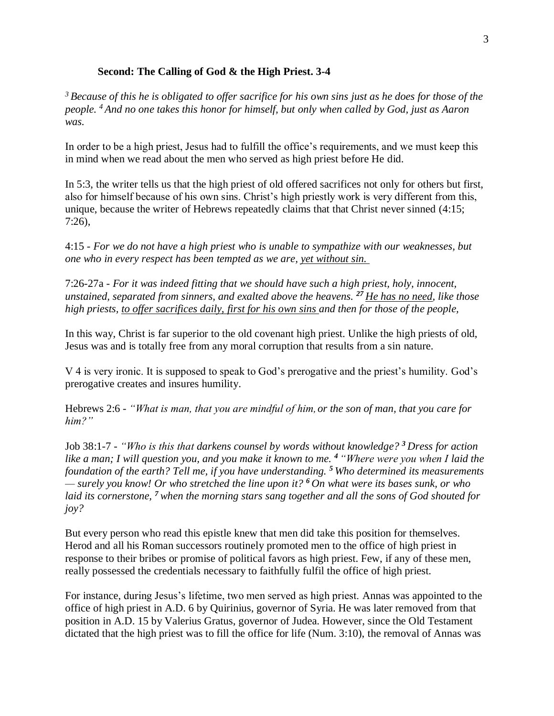#### **Second: The Calling of God & the High Priest. 3-4**

*<sup>3</sup> Because of this he is obligated to offer sacrifice for his own sins just as he does for those of the people. <sup>4</sup> And no one takes this honor for himself, but only when called by God, just as Aaron was.*

In order to be a high priest, Jesus had to fulfill the office's requirements, and we must keep this in mind when we read about the men who served as high priest before He did.

In 5:3, the writer tells us that the high priest of old offered sacrifices not only for others but first, also for himself because of his own sins. Christ's high priestly work is very different from this, unique, because the writer of Hebrews repeatedly claims that that Christ never sinned (4:15; 7:26),

4:15 - *For we do not have a high priest who is unable to sympathize with our weaknesses, but one who in every respect has been tempted as we are, yet without sin.*

7:26-27a - *For it was indeed fitting that we should have such a high priest, holy, innocent, unstained, separated from sinners, and exalted above the heavens. <sup>27</sup> He has no need, like those high priests, to offer sacrifices daily, first for his own sins and then for those of the people,*

In this way, Christ is far superior to the old covenant high priest. Unlike the high priests of old, Jesus was and is totally free from any moral corruption that results from a sin nature.

V 4 is very ironic. It is supposed to speak to God's prerogative and the priest's humility. God's prerogative creates and insures humility.

Hebrews 2:6 - *"What is man, that you are mindful of him,or the son of man, that you care for him?"*

Job 38:1-7 - *"Who is this that darkens counsel by words without knowledge? <sup>3</sup> Dress for action like a man; I will question you, and you make it known to me. <sup>4</sup> "Where were you when I laid the foundation of the earth? Tell me, if you have understanding. <sup>5</sup> Who determined its measurements — surely you know! Or who stretched the line upon it? <sup>6</sup> On what were its bases sunk, or who laid its cornerstone, <sup>7</sup> when the morning stars sang together and all the sons of God shouted for joy?*

But every person who read this epistle knew that men did take this position for themselves. Herod and all his Roman successors routinely promoted men to the office of high priest in response to their bribes or promise of political favors as high priest. Few, if any of these men, really possessed the credentials necessary to faithfully fulfil the office of high priest.

For instance, during Jesus's lifetime, two men served as high priest. Annas was appointed to the office of high priest in A.D. 6 by Quirinius, governor of Syria. He was later removed from that position in A.D. 15 by Valerius Gratus, governor of Judea. However, since the Old Testament dictated that the high priest was to fill the office for life (Num. 3:10), the removal of Annas was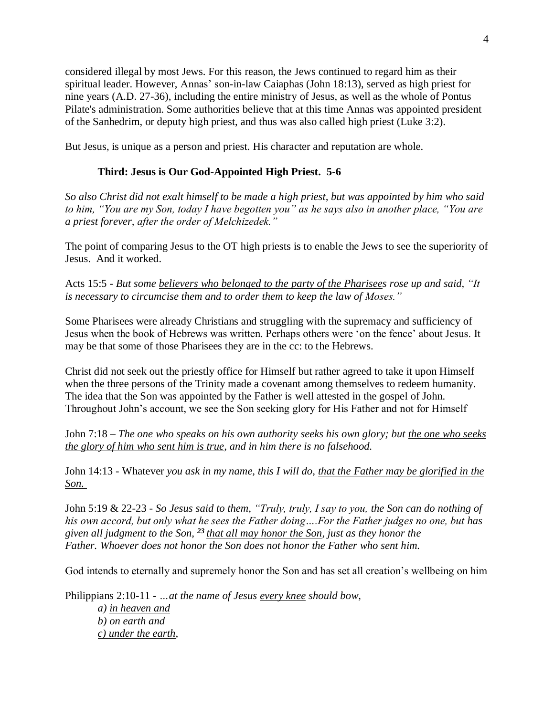considered illegal by most Jews. For this reason, the Jews continued to regard him as their spiritual leader. However, Annas' son-in-law Caiaphas (John 18:13), served as high priest for nine years (A.D. 27-36), including the entire ministry of Jesus, as well as the whole of Pontus Pilate's administration. Some authorities believe that at this time Annas was appointed president of the Sanhedrim, or deputy high priest, and thus was also called high priest (Luke 3:2).

But Jesus, is unique as a person and priest. His character and reputation are whole.

# **Third: Jesus is Our God-Appointed High Priest. 5-6**

*So also Christ did not exalt himself to be made a high priest, but was appointed by him who said to him, "You are my Son, today I have begotten you" as he says also in another place, "You are a priest forever, after the order of Melchizedek."*

The point of comparing Jesus to the OT high priests is to enable the Jews to see the superiority of Jesus. And it worked.

Acts 15:5 - *But some believers who belonged to the party of the Pharisees rose up and said, "It is necessary to circumcise them and to order them to keep the law of Moses."*

Some Pharisees were already Christians and struggling with the supremacy and sufficiency of Jesus when the book of Hebrews was written. Perhaps others were 'on the fence' about Jesus. It may be that some of those Pharisees they are in the cc: to the Hebrews.

Christ did not seek out the priestly office for Himself but rather agreed to take it upon Himself when the three persons of the Trinity made a covenant among themselves to redeem humanity. The idea that the Son was appointed by the Father is well attested in the gospel of John. Throughout John's account, we see the Son seeking glory for His Father and not for Himself

John 7:18 – *The one who speaks on his own authority seeks his own glory; but the one who seeks the glory of him who sent him is true, and in him there is no falsehood.*

John 14:13 - Whatever *you ask in my name, this I will do, that the Father may be glorified in the Son.*

John 5:19 & 22-23 - *So Jesus said to them, "Truly, truly, I say to you, the Son can do nothing of his own accord, but only what he sees the Father doing….For the Father judges no one, but has given all judgment to the Son, <sup>23</sup> that all may honor the Son, just as they honor the Father. Whoever does not honor the Son does not honor the Father who sent him.*

God intends to eternally and supremely honor the Son and has set all creation's wellbeing on him

Philippians 2:10-11 - *…at the name of Jesus every knee should bow, a) in heaven and b) on earth and c) under the earth,*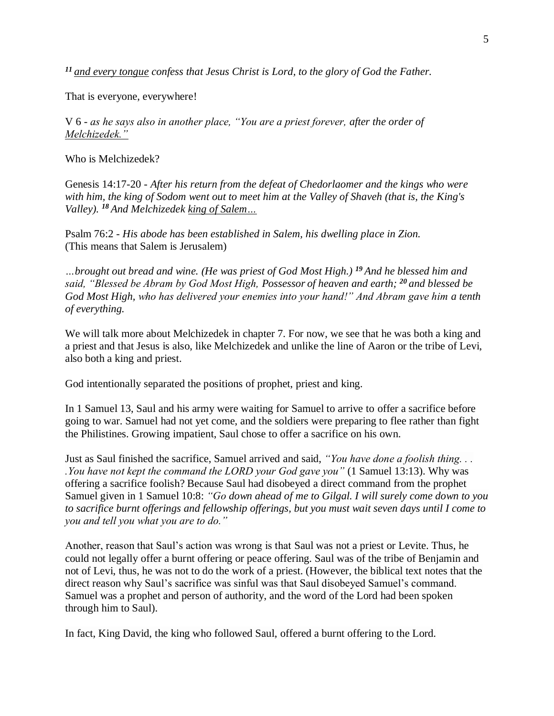*<sup>11</sup> and every tongue confess that Jesus Christ is Lord, to the glory of God the Father.*

That is everyone, everywhere!

V 6 - *as he says also in another place, "You are a priest forever, after the order of Melchizedek."*

Who is Melchizedek?

Genesis 14:17-20 - *After his return from the defeat of Chedorlaomer and the kings who were with him, the king of Sodom went out to meet him at the Valley of Shaveh (that is, the King's Valley). <sup>18</sup> And Melchizedek king of Salem…*

Psalm 76:2 - *His abode has been established in Salem, his dwelling place in Zion.* (This means that Salem is Jerusalem)

*…brought out bread and wine. (He was priest of God Most High.) <sup>19</sup> And he blessed him and said, "Blessed be Abram by God Most High, Possessor of heaven and earth; <sup>20</sup> and blessed be God Most High, who has delivered your enemies into your hand!" And Abram gave him a tenth of everything.*

We will talk more about Melchizedek in chapter 7. For now, we see that he was both a king and a priest and that Jesus is also, like Melchizedek and unlike the line of Aaron or the tribe of Levi, also both a king and priest.

God intentionally separated the positions of prophet, priest and king.

In 1 Samuel 13, Saul and his army were waiting for Samuel to arrive to offer a sacrifice before going to war. Samuel had not yet come, and the soldiers were preparing to flee rather than fight the Philistines. Growing impatient, Saul chose to offer a sacrifice on his own.

Just as Saul finished the sacrifice, Samuel arrived and said, *"You have done a foolish thing. . . .You have not kept the command the LORD your God gave you"* (1 Samuel 13:13). Why was offering a sacrifice foolish? Because Saul had disobeyed a direct command from the prophet Samuel given in 1 Samuel 10:8: *"Go down ahead of me to Gilgal. I will surely come down to you to sacrifice burnt offerings and fellowship offerings, but you must wait seven days until I come to you and tell you what you are to do."*

Another, reason that Saul's action was wrong is that Saul was not a priest or Levite. Thus, he could not legally offer a burnt offering or peace offering. Saul was of the tribe of Benjamin and not of Levi, thus, he was not to do the work of a priest. (However, the biblical text notes that the direct reason why Saul's sacrifice was sinful was that Saul disobeyed Samuel's command. Samuel was a prophet and person of authority, and the word of the Lord had been spoken through him to Saul).

In fact, King David, the king who followed Saul, offered a burnt offering to the Lord.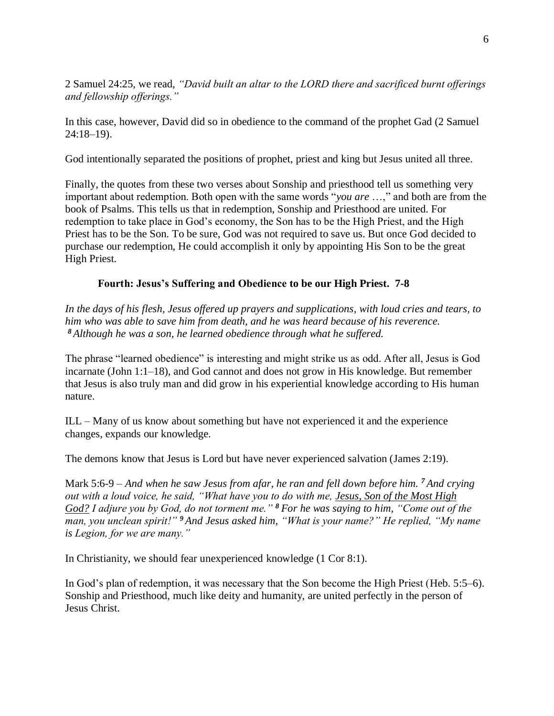2 Samuel 24:25, we read, *"David built an altar to the LORD there and sacrificed burnt offerings and fellowship offerings."*

In this case, however, David did so in obedience to the command of the prophet Gad (2 Samuel 24:18–19).

God intentionally separated the positions of prophet, priest and king but Jesus united all three.

Finally, the quotes from these two verses about Sonship and priesthood tell us something very important about redemption. Both open with the same words "*you are* …," and both are from the book of Psalms. This tells us that in redemption, Sonship and Priesthood are united. For redemption to take place in God's economy, the Son has to be the High Priest, and the High Priest has to be the Son. To be sure, God was not required to save us. But once God decided to purchase our redemption, He could accomplish it only by appointing His Son to be the great High Priest.

### **Fourth: Jesus's Suffering and Obedience to be our High Priest. 7-8**

*In the days of his flesh, Jesus offered up prayers and supplications, with loud cries and tears, to him who was able to save him from death, and he was heard because of his reverence. <sup>8</sup> Although he was a son, he learned obedience through what he suffered.*

The phrase "learned obedience" is interesting and might strike us as odd. After all, Jesus is God incarnate (John 1:1–18), and God cannot and does not grow in His knowledge. But remember that Jesus is also truly man and did grow in his experiential knowledge according to His human nature.

ILL – Many of us know about something but have not experienced it and the experience changes, expands our knowledge.

The demons know that Jesus is Lord but have never experienced salvation (James 2:19).

Mark 5:6-9 – *And when he saw Jesus from afar, he ran and fell down before him. <sup>7</sup> And crying out with a loud voice, he said, "What have you to do with me, Jesus, Son of the Most High God? I adjure you by God, do not torment me." <sup>8</sup> For he was saying to him, "Come out of the man, you unclean spirit!" <sup>9</sup> And Jesus asked him, "What is your name?" He replied, "My name is Legion, for we are many."*

In Christianity, we should fear unexperienced knowledge (1 Cor 8:1).

In God's plan of redemption, it was necessary that the Son become the High Priest (Heb. 5:5–6). Sonship and Priesthood, much like deity and humanity, are united perfectly in the person of Jesus Christ.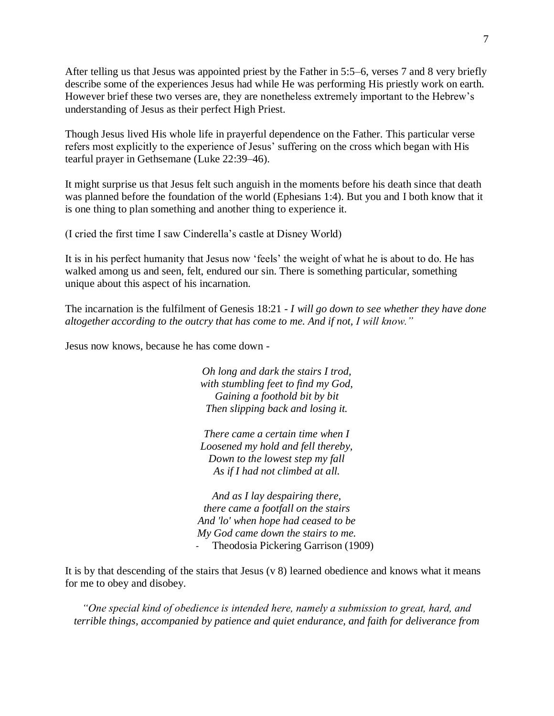After telling us that Jesus was appointed priest by the Father in 5:5–6, verses 7 and 8 very briefly describe some of the experiences Jesus had while He was performing His priestly work on earth. However brief these two verses are, they are nonetheless extremely important to the Hebrew's understanding of Jesus as their perfect High Priest.

Though Jesus lived His whole life in prayerful dependence on the Father. This particular verse refers most explicitly to the experience of Jesus' suffering on the cross which began with His tearful prayer in Gethsemane (Luke 22:39–46).

It might surprise us that Jesus felt such anguish in the moments before his death since that death was planned before the foundation of the world (Ephesians 1:4). But you and I both know that it is one thing to plan something and another thing to experience it.

(I cried the first time I saw Cinderella's castle at Disney World)

It is in his perfect humanity that Jesus now 'feels' the weight of what he is about to do. He has walked among us and seen, felt, endured our sin. There is something particular, something unique about this aspect of his incarnation.

The incarnation is the fulfilment of Genesis 18:21 *- I will go down to see whether they have done altogether according to the outcry that has come to me. And if not, I will know."*

Jesus now knows, because he has come down -

*Oh long and dark the stairs I trod, with stumbling feet to find my God, Gaining a foothold bit by bit Then slipping back and losing it.*

*There came a certain time when I Loosened my hold and fell thereby, Down to the lowest step my fall As if I had not climbed at all.*

*And as I lay despairing there, there came a footfall on the stairs And 'lo' when hope had ceased to be My God came down the stairs to me.* Theodosia Pickering Garrison (1909)

It is by that descending of the stairs that Jesus (v 8) learned obedience and knows what it means for me to obey and disobey.

*"One special kind of obedience is intended here, namely a submission to great, hard, and terrible things, accompanied by patience and quiet endurance, and faith for deliverance from*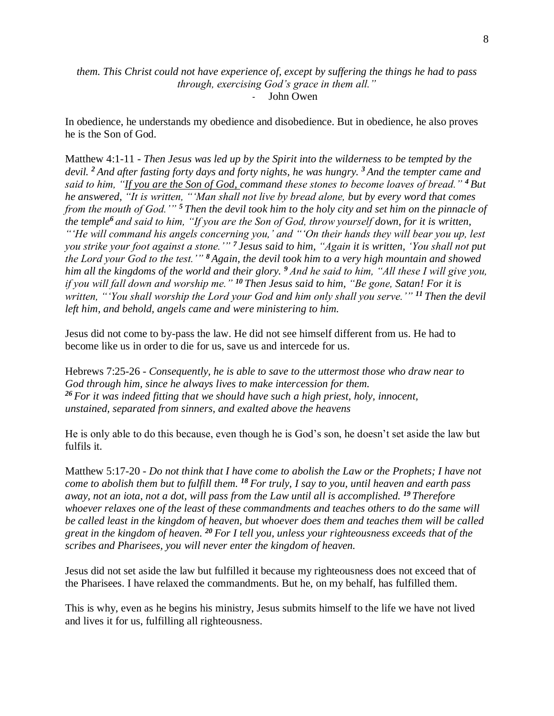#### *them. This Christ could not have experience of, except by suffering the things he had to pass through, exercising God's grace in them all."* - John Owen

In obedience, he understands my obedience and disobedience. But in obedience, he also proves he is the Son of God.

Matthew 4:1-11 - *Then Jesus was led up by the Spirit into the wilderness to be tempted by the devil. <sup>2</sup> And after fasting forty days and forty nights, he was hungry. <sup>3</sup> And the tempter came and said to him, "If you are the Son of God, command these stones to become loaves of bread." <sup>4</sup> But he answered, "It is written, "'Man shall not live by bread alone, but by every word that comes from the mouth of God.'" <sup>5</sup> Then the devil took him to the holy city and set him on the pinnacle of the temple<sup>6</sup> and said to him, "If you are the Son of God, throw yourself down, for it is written, "'He will command his angels concerning you,' and "'On their hands they will bear you up, lest you strike your foot against a stone.'" <sup>7</sup> Jesus said to him, "Again it is written, 'You shall not put the Lord your God to the test.'" <sup>8</sup> Again, the devil took him to a very high mountain and showed him all the kingdoms of the world and their glory. <sup>9</sup> And he said to him, "All these I will give you, if you will fall down and worship me." <sup>10</sup> Then Jesus said to him, "Be gone, Satan! For it is written, "'You shall worship the Lord your God and him only shall you serve.'" <sup>11</sup> Then the devil left him, and behold, angels came and were ministering to him.*

Jesus did not come to by-pass the law. He did not see himself different from us. He had to become like us in order to die for us, save us and intercede for us.

Hebrews 7:25-26 - *Consequently, he is able to save to the uttermost those who draw near to God through him, since he always lives to make intercession for them. <sup>26</sup> For it was indeed fitting that we should have such a high priest, holy, innocent, unstained, separated from sinners, and exalted above the heavens*

He is only able to do this because, even though he is God's son, he doesn't set aside the law but fulfils it.

Matthew 5:17-20 - *Do not think that I have come to abolish the Law or the Prophets; I have not come to abolish them but to fulfill them. <sup>18</sup> For truly, I say to you, until heaven and earth pass away, not an iota, not a dot, will pass from the Law until all is accomplished. <sup>19</sup> Therefore whoever relaxes one of the least of these commandments and teaches others to do the same will be called least in the kingdom of heaven, but whoever does them and teaches them will be called great in the kingdom of heaven. <sup>20</sup> For I tell you, unless your righteousness exceeds that of the scribes and Pharisees, you will never enter the kingdom of heaven.*

Jesus did not set aside the law but fulfilled it because my righteousness does not exceed that of the Pharisees. I have relaxed the commandments. But he, on my behalf, has fulfilled them.

This is why, even as he begins his ministry, Jesus submits himself to the life we have not lived and lives it for us, fulfilling all righteousness.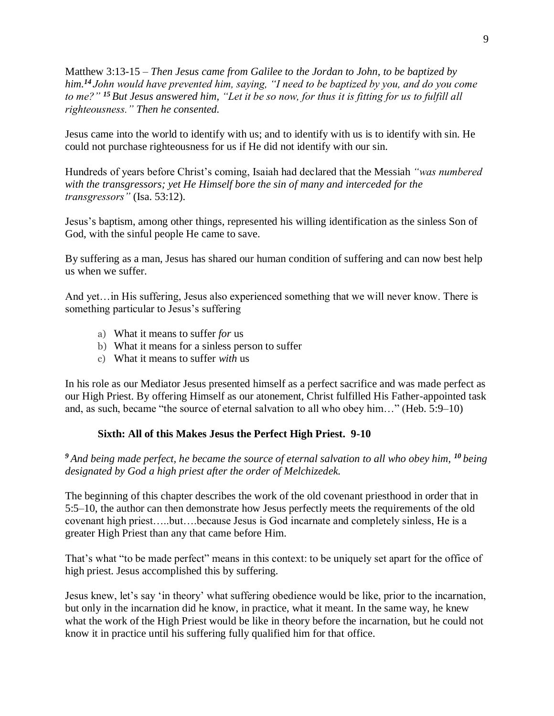Matthew 3:13-15 – *Then Jesus came from Galilee to the Jordan to John, to be baptized by him.<sup>14</sup> John would have prevented him, saying, "I need to be baptized by you, and do you come to me?" <sup>15</sup> But Jesus answered him, "Let it be so now, for thus it is fitting for us to fulfill all righteousness." Then he consented.*

Jesus came into the world to identify with us; and to identify with us is to identify with sin. He could not purchase righteousness for us if He did not identify with our sin.

Hundreds of years before Christ's coming, Isaiah had declared that the Messiah *"was numbered with the transgressors; yet He Himself bore the sin of many and interceded for the transgressors"* (Isa. 53:12).

Jesus's baptism, among other things, represented his willing identification as the sinless Son of God, with the sinful people He came to save.

By suffering as a man, Jesus has shared our human condition of suffering and can now best help us when we suffer.

And yet... in His suffering, Jesus also experienced something that we will never know. There is something particular to Jesus's suffering

- a) What it means to suffer *for* us
- b) What it means for a sinless person to suffer
- c) What it means to suffer *with* us

In his role as our Mediator Jesus presented himself as a perfect sacrifice and was made perfect as our High Priest. By offering Himself as our atonement, Christ fulfilled His Father-appointed task and, as such, became "the source of eternal salvation to all who obey him…" (Heb. 5:9–10)

## **Sixth: All of this Makes Jesus the Perfect High Priest. 9-10**

*<sup>9</sup> And being made perfect, he became the source of eternal salvation to all who obey him, <sup>10</sup> being designated by God a high priest after the order of Melchizedek.*

The beginning of this chapter describes the work of the old covenant priesthood in order that in 5:5–10, the author can then demonstrate how Jesus perfectly meets the requirements of the old covenant high priest…..but….because Jesus is God incarnate and completely sinless, He is a greater High Priest than any that came before Him.

That's what "to be made perfect" means in this context: to be uniquely set apart for the office of high priest. Jesus accomplished this by suffering.

Jesus knew, let's say 'in theory' what suffering obedience would be like, prior to the incarnation, but only in the incarnation did he know, in practice, what it meant. In the same way, he knew what the work of the High Priest would be like in theory before the incarnation, but he could not know it in practice until his suffering fully qualified him for that office.